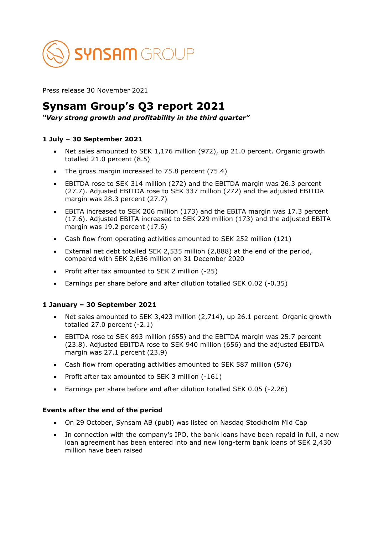

Press release 30 November 2021

# **Synsam Group's Q3 report 2021**

*"Very strong growth and profitability in the third quarter"*

# **1 July – 30 September 2021**

- Net sales amounted to SEK 1,176 million (972), up 21.0 percent. Organic growth totalled 21.0 percent (8.5)
- The gross margin increased to 75.8 percent (75.4)
- EBITDA rose to SEK 314 million (272) and the EBITDA margin was 26.3 percent (27.7). Adjusted EBITDA rose to SEK 337 million (272) and the adjusted EBITDA margin was 28.3 percent (27.7)
- EBITA increased to SEK 206 million (173) and the EBITA margin was 17.3 percent (17.6). Adjusted EBITA increased to SEK 229 million (173) and the adjusted EBITA margin was 19.2 percent (17.6)
- Cash flow from operating activities amounted to SEK 252 million (121)
- External net debt totalled SEK 2,535 million (2,888) at the end of the period, compared with SEK 2,636 million on 31 December 2020
- Profit after tax amounted to SEK 2 million (-25)
- Earnings per share before and after dilution totalled SEK 0.02 (-0.35)

# **1 January – 30 September 2021**

- Net sales amounted to SEK 3,423 million (2,714), up 26.1 percent. Organic growth totalled  $27.0$  percent  $(-2.1)$
- EBITDA rose to SEK 893 million (655) and the EBITDA margin was 25.7 percent (23.8). Adjusted EBITDA rose to SEK 940 million (656) and the adjusted EBITDA margin was 27.1 percent (23.9)
- Cash flow from operating activities amounted to SEK 587 million (576)
- Profit after tax amounted to SEK 3 million (-161)
- Earnings per share before and after dilution totalled SEK 0.05 (-2.26)

### **Events after the end of the period**

- On 29 October, Synsam AB (publ) was listed on Nasdaq Stockholm Mid Cap
- In connection with the company's IPO, the bank loans have been repaid in full, a new loan agreement has been entered into and new long-term bank loans of SEK 2,430 million have been raised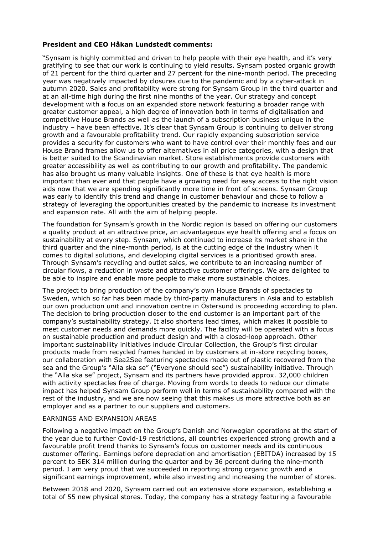### **President and CEO Håkan Lundstedt comments:**

"Synsam is highly committed and driven to help people with their eye health, and it's very gratifying to see that our work is continuing to yield results. Synsam posted organic growth of 21 percent for the third quarter and 27 percent for the nine-month period. The preceding year was negatively impacted by closures due to the pandemic and by a cyber-attack in autumn 2020. Sales and profitability were strong for Synsam Group in the third quarter and at an all-time high during the first nine months of the year. Our strategy and concept development with a focus on an expanded store network featuring a broader range with greater customer appeal, a high degree of innovation both in terms of digitalisation and competitive House Brands as well as the launch of a subscription business unique in the industry – have been effective. It's clear that Synsam Group is continuing to deliver strong growth and a favourable profitability trend. Our rapidly expanding subscription service provides a security for customers who want to have control over their monthly fees and our House Brand frames allow us to offer alternatives in all price categories, with a design that is better suited to the Scandinavian market. Store establishments provide customers with greater accessibility as well as contributing to our growth and profitability. The pandemic has also brought us many valuable insights. One of these is that eye health is more important than ever and that people have a growing need for easy access to the right vision aids now that we are spending significantly more time in front of screens. Synsam Group was early to identify this trend and change in customer behaviour and chose to follow a strategy of leveraging the opportunities created by the pandemic to increase its investment and expansion rate. All with the aim of helping people.

The foundation for Synsam's growth in the Nordic region is based on offering our customers a quality product at an attractive price, an advantageous eye health offering and a focus on sustainability at every step. Synsam, which continued to increase its market share in the third quarter and the nine-month period, is at the cutting edge of the industry when it comes to digital solutions, and developing digital services is a prioritised growth area. Through Synsam's recycling and outlet sales, we contribute to an increasing number of circular flows, a reduction in waste and attractive customer offerings. We are delighted to be able to inspire and enable more people to make more sustainable choices.

The project to bring production of the company's own House Brands of spectacles to Sweden, which so far has been made by third-party manufacturers in Asia and to establish our own production unit and innovation centre in Östersund is proceeding according to plan. The decision to bring production closer to the end customer is an important part of the company's sustainability strategy. It also shortens lead times, which makes it possible to meet customer needs and demands more quickly. The facility will be operated with a focus on sustainable production and product design and with a closed-loop approach. Other important sustainability initiatives include Circular Collection, the Group's first circular products made from recycled frames handed in by customers at in-store recycling boxes, our collaboration with Sea2See featuring spectacles made out of plastic recovered from the sea and the Group's "Alla ska se" ("Everyone should see") sustainability initiative. Through the "Alla ska se" project, Synsam and its partners have provided approx. 32,000 children with activity spectacles free of charge. Moving from words to deeds to reduce our climate impact has helped Synsam Group perform well in terms of sustainability compared with the rest of the industry, and we are now seeing that this makes us more attractive both as an employer and as a partner to our suppliers and customers.

### EARNINGS AND EXPANSION AREAS

Following a negative impact on the Group's Danish and Norwegian operations at the start of the year due to further Covid-19 restrictions, all countries experienced strong growth and a favourable profit trend thanks to Synsam's focus on customer needs and its continuous customer offering. Earnings before depreciation and amortisation (EBITDA) increased by 15 percent to SEK 314 million during the quarter and by 36 percent during the nine-month period. I am very proud that we succeeded in reporting strong organic growth and a significant earnings improvement, while also investing and increasing the number of stores.

Between 2018 and 2020, Synsam carried out an extensive store expansion, establishing a total of 55 new physical stores. Today, the company has a strategy featuring a favourable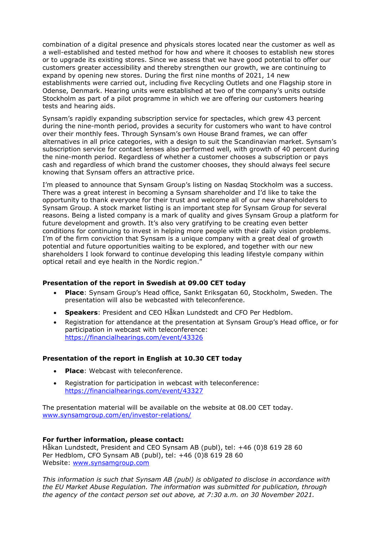combination of a digital presence and physicals stores located near the customer as well as a well-established and tested method for how and where it chooses to establish new stores or to upgrade its existing stores. Since we assess that we have good potential to offer our customers greater accessibility and thereby strengthen our growth, we are continuing to expand by opening new stores. During the first nine months of 2021, 14 new establishments were carried out, including five Recycling Outlets and one Flagship store in Odense, Denmark. Hearing units were established at two of the company's units outside Stockholm as part of a pilot programme in which we are offering our customers hearing tests and hearing aids.

Synsam's rapidly expanding subscription service for spectacles, which grew 43 percent during the nine-month period, provides a security for customers who want to have control over their monthly fees. Through Synsam's own House Brand frames, we can offer alternatives in all price categories, with a design to suit the Scandinavian market. Synsam's subscription service for contact lenses also performed well, with growth of 40 percent during the nine-month period. Regardless of whether a customer chooses a subscription or pays cash and regardless of which brand the customer chooses, they should always feel secure knowing that Synsam offers an attractive price.

I'm pleased to announce that Synsam Group's listing on Nasdaq Stockholm was a success. There was a great interest in becoming a Synsam shareholder and I'd like to take the opportunity to thank everyone for their trust and welcome all of our new shareholders to Synsam Group. A stock market listing is an important step for Synsam Group for several reasons. Being a listed company is a mark of quality and gives Synsam Group a platform for future development and growth. It's also very gratifying to be creating even better conditions for continuing to invest in helping more people with their daily vision problems. I'm of the firm conviction that Synsam is a unique company with a great deal of growth potential and future opportunities waiting to be explored, and together with our new shareholders I look forward to continue developing this leading lifestyle company within optical retail and eye health in the Nordic region."

# **Presentation of the report in Swedish at 09.00 CET today**

- **Place**: Synsam Group's Head office, Sankt Eriksgatan 60, Stockholm, Sweden. The presentation will also be webcasted with teleconference.
- **Speakers**: President and CEO Håkan Lundstedt and CFO Per Hedblom.
- Registration for attendance at the presentation at Synsam Group's Head office, or for participation in webcast with teleconference: <https://financialhearings.com/event/43326>

### **Presentation of the report in English at 10.30 CET today**

- **Place:** Webcast with teleconference.
- Registration for participation in webcast with teleconference: <https://financialhearings.com/event/43327>

The presentation material will be available on the website at 08.00 CET today. [www.synsamgroup.com/en/investor-relations/](http://www.synsamgroup.com/en/investor-relations/)

### **For further information, please contact:**

Håkan Lundstedt, President and CEO Synsam AB (publ), tel: +46 (0)8 619 28 60 Per Hedblom, CFO Synsam AB (publ), tel: +46 (0)8 619 28 60 Website: [www.synsamgroup.com](http://www.synsamgroup.com/)

*This information is such that Synsam AB (publ) is obligated to disclose in accordance with the EU Market Abuse Regulation. The information was submitted for publication, through the agency of the contact person set out above, at 7:30 a.m. on 30 November 2021.*